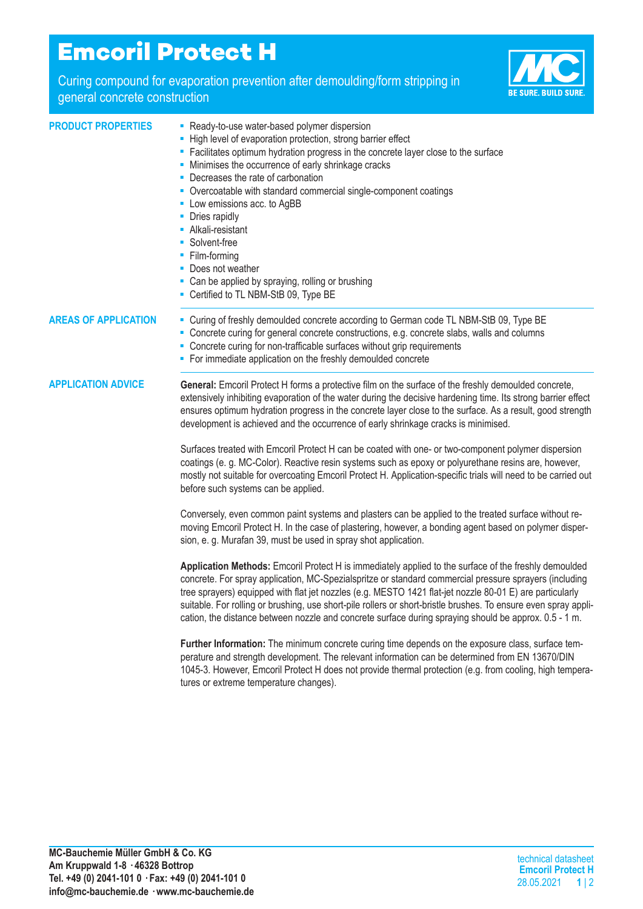## **Emcoril Protect H**

Curing compound for evaporation prevention after demoulding/form stripping in



| general concrete construction | <b>Uding compound for evaporation provention and achiediang/form stripping</b> in                                                                                                                                                                                                                                                                                                                                                                                                                                                                                                                          | <b>BE SURE, BUILD SURE.</b> |
|-------------------------------|------------------------------------------------------------------------------------------------------------------------------------------------------------------------------------------------------------------------------------------------------------------------------------------------------------------------------------------------------------------------------------------------------------------------------------------------------------------------------------------------------------------------------------------------------------------------------------------------------------|-----------------------------|
| <b>PRODUCT PROPERTIES</b>     | - Ready-to-use water-based polymer dispersion<br>- High level of evaporation protection, strong barrier effect<br>• Facilitates optimum hydration progress in the concrete layer close to the surface<br>• Minimises the occurrence of early shrinkage cracks<br>• Decreases the rate of carbonation<br>• Overcoatable with standard commercial single-component coatings<br>• Low emissions acc. to AgBB<br>• Dries rapidly<br>• Alkali-resistant<br>• Solvent-free<br>• Film-forming<br>• Does not weather<br>• Can be applied by spraying, rolling or brushing<br>- Certified to TL NBM-StB 09, Type BE |                             |
| <b>AREAS OF APPLICATION</b>   | - Curing of freshly demoulded concrete according to German code TL NBM-StB 09, Type BE<br>• Concrete curing for general concrete constructions, e.g. concrete slabs, walls and columns<br>• Concrete curing for non-trafficable surfaces without grip requirements<br>• For immediate application on the freshly demoulded concrete                                                                                                                                                                                                                                                                        |                             |
| <b>APPLICATION ADVICE</b>     | General: Emcoril Protect H forms a protective film on the surface of the freshly demoulded concrete,<br>extensively inhibiting evaporation of the water during the decisive hardening time. Its strong barrier effect<br>ensures optimum hydration progress in the concrete layer close to the surface. As a result, good strength<br>development is achieved and the occurrence of early shrinkage cracks is minimised.                                                                                                                                                                                   |                             |
|                               | Surfaces treated with Emcoril Protect H can be coated with one- or two-component polymer dispersion<br>coatings (e. g. MC-Color). Reactive resin systems such as epoxy or polyurethane resins are, however,<br>mostly not suitable for overcoating Emcoril Protect H. Application-specific trials will need to be carried out<br>before such systems can be applied.                                                                                                                                                                                                                                       |                             |

Conversely, even common paint systems and plasters can be applied to the treated surface without removing Emcoril Protect H. In the case of plastering, however, a bonding agent based on polymer dispersion, e. g. Murafan 39, must be used in spray shot application.

**Application Methods:** Emcoril Protect H is immediately applied to the surface of the freshly demoulded concrete. For spray application, MC-Spezialspritze or standard commercial pressure sprayers (including tree sprayers) equipped with flat jet nozzles (e.g. MESTO 1421 flat-jet nozzle 80-01 E) are particularly suitable. For rolling or brushing, use short-pile rollers or short-bristle brushes. To ensure even spray application, the distance between nozzle and concrete surface during spraying should be approx. 0.5 - 1 m.

**Further Information:** The minimum concrete curing time depends on the exposure class, surface temperature and strength development. The relevant information can be determined from EN 13670/DIN 1045-3. However, Emcoril Protect H does not provide thermal protection (e.g. from cooling, high temperatures or extreme temperature changes).